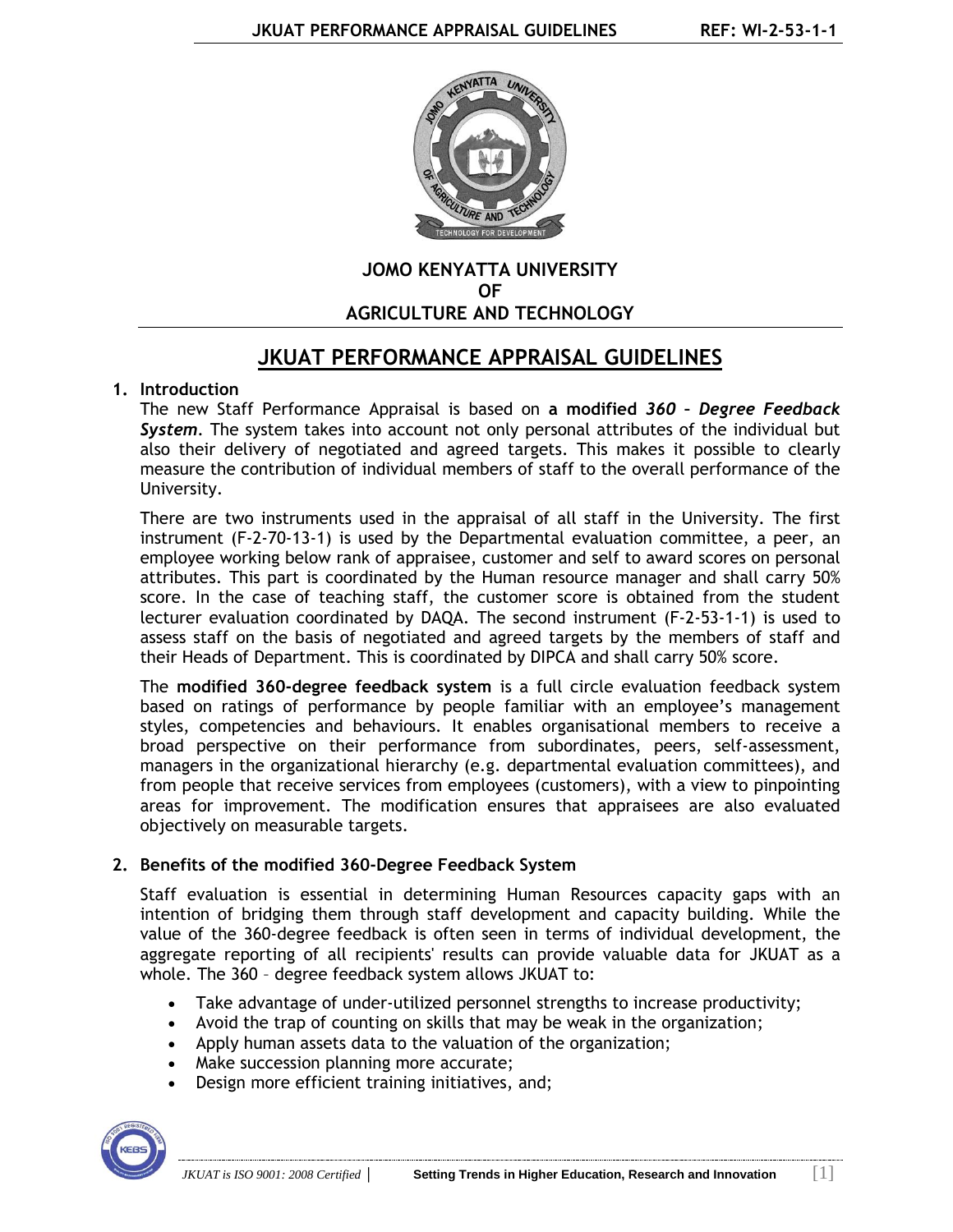

## **JOMO KENYATTA UNIVERSITY OF AGRICULTURE AND TECHNOLOGY**

# **JKUAT PERFORMANCE APPRAISAL GUIDELINES**

# **1. Introduction**

The new Staff Performance Appraisal is based on **a modified** *360 – Degree Feedback System*. The system takes into account not only personal attributes of the individual but also their delivery of negotiated and agreed targets. This makes it possible to clearly measure the contribution of individual members of staff to the overall performance of the University.

There are two instruments used in the appraisal of all staff in the University. The first instrument (F-2-70-13-1) is used by the Departmental evaluation committee, a peer, an employee working below rank of appraisee, customer and self to award scores on personal attributes. This part is coordinated by the Human resource manager and shall carry 50% score. In the case of teaching staff, the customer score is obtained from the student lecturer evaluation coordinated by DAQA. The second instrument (F-2-53-1-1) is used to assess staff on the basis of negotiated and agreed targets by the members of staff and their Heads of Department. This is coordinated by DIPCA and shall carry 50% score.

The **modified 360-degree feedback system** is a full circle evaluation feedback system based on ratings of performance by people familiar with an employee's management styles, competencies and behaviours. It enables organisational members to receive a broad perspective on their performance from subordinates, peers, self-assessment, managers in the organizational hierarchy (e.g. departmental evaluation committees), and from people that receive services from employees (customers), with a view to pinpointing areas for improvement. The modification ensures that appraisees are also evaluated objectively on measurable targets.

# **2. Benefits of the modified 360-Degree Feedback System**

Staff evaluation is essential in determining Human Resources capacity gaps with an intention of bridging them through staff development and capacity building. While the value of the 360-degree feedback is often seen in terms of individual development, the aggregate reporting of all recipients' results can provide valuable data for JKUAT as a whole. The 360 – degree feedback system allows JKUAT to:

- Take advantage of under-utilized personnel strengths to increase productivity;
- Avoid the trap of counting on skills that may be weak in the organization;
- Apply human assets data to the valuation of the organization;
- Make succession planning more accurate:
- Design more efficient training initiatives, and;

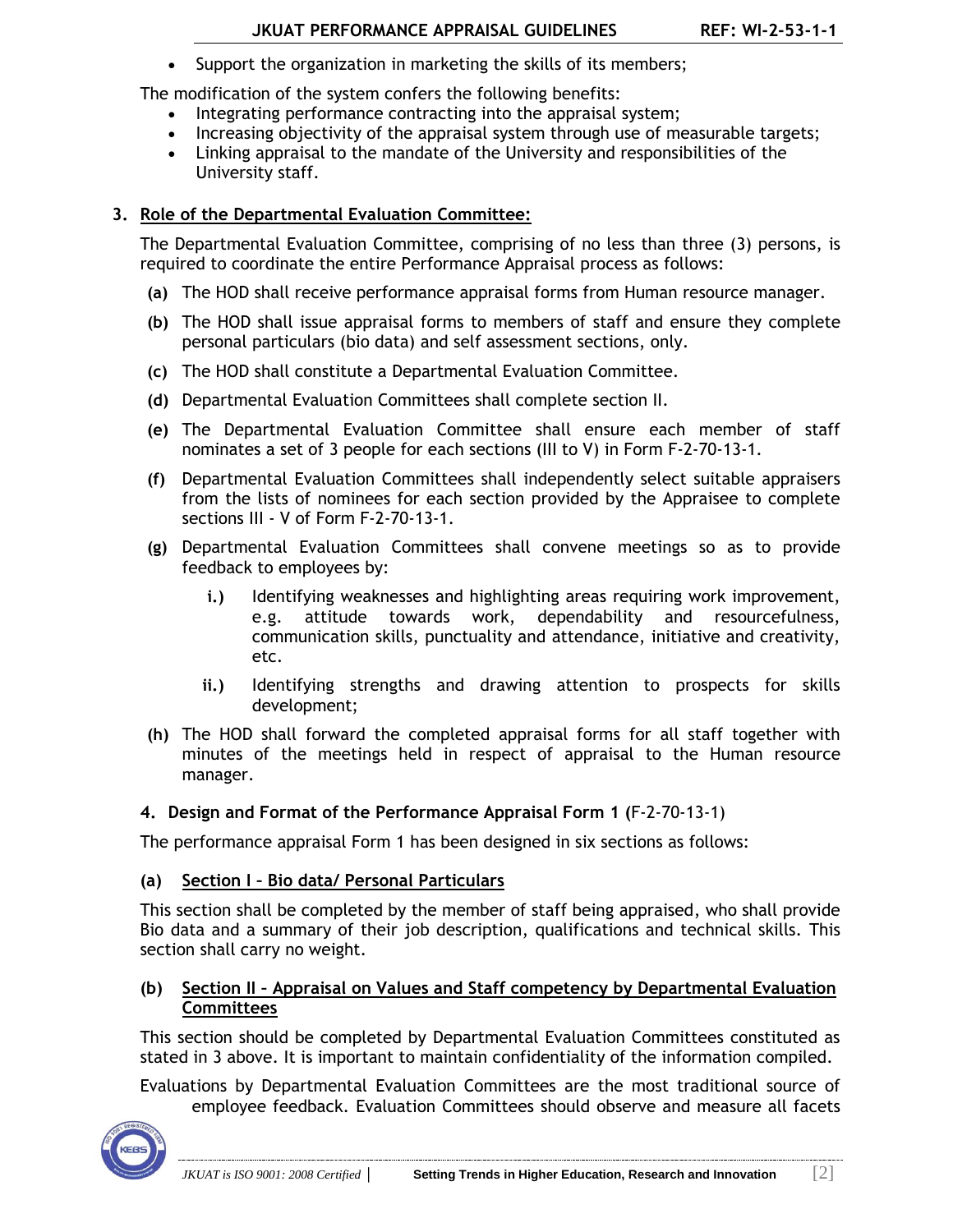• Support the organization in marketing the skills of its members;

The modification of the system confers the following benefits:

- Integrating performance contracting into the appraisal system;
- Increasing objectivity of the appraisal system through use of measurable targets;
- Linking appraisal to the mandate of the University and responsibilities of the University staff.

## **3. Role of the Departmental Evaluation Committee:**

The Departmental Evaluation Committee, comprising of no less than three (3) persons, is required to coordinate the entire Performance Appraisal process as follows:

- **(a)** The HOD shall receive performance appraisal forms from Human resource manager.
- **(b)** The HOD shall issue appraisal forms to members of staff and ensure they complete personal particulars (bio data) and self assessment sections, only.
- **(c)** The HOD shall constitute a Departmental Evaluation Committee.
- **(d)** Departmental Evaluation Committees shall complete section II.
- **(e)** The Departmental Evaluation Committee shall ensure each member of staff nominates a set of 3 people for each sections (III to V) in Form F-2-70-13-1.
- **(f)** Departmental Evaluation Committees shall independently select suitable appraisers from the lists of nominees for each section provided by the Appraisee to complete sections III - V of Form F-2-70-13-1.
- **(g)** Departmental Evaluation Committees shall convene meetings so as to provide feedback to employees by:
	- **i.)** Identifying weaknesses and highlighting areas requiring work improvement, e.g. attitude towards work, dependability and resourcefulness, communication skills, punctuality and attendance, initiative and creativity, etc.
	- **ii.)** Identifying strengths and drawing attention to prospects for skills development;
- **(h)** The HOD shall forward the completed appraisal forms for all staff together with minutes of the meetings held in respect of appraisal to the Human resource manager.

#### **4. Design and Format of the Performance Appraisal Form 1 (**F-2-70-13-1)

The performance appraisal Form 1 has been designed in six sections as follows:

# **(a) Section I – Bio data/ Personal Particulars**

This section shall be completed by the member of staff being appraised, who shall provide Bio data and a summary of their job description, qualifications and technical skills. This section shall carry no weight.

#### **(b) Section II – Appraisal on Values and Staff competency by Departmental Evaluation Committees**

This section should be completed by Departmental Evaluation Committees constituted as stated in 3 above. It is important to maintain confidentiality of the information compiled.

Evaluations by Departmental Evaluation Committees are the most traditional source of employee feedback. Evaluation Committees should observe and measure all facets

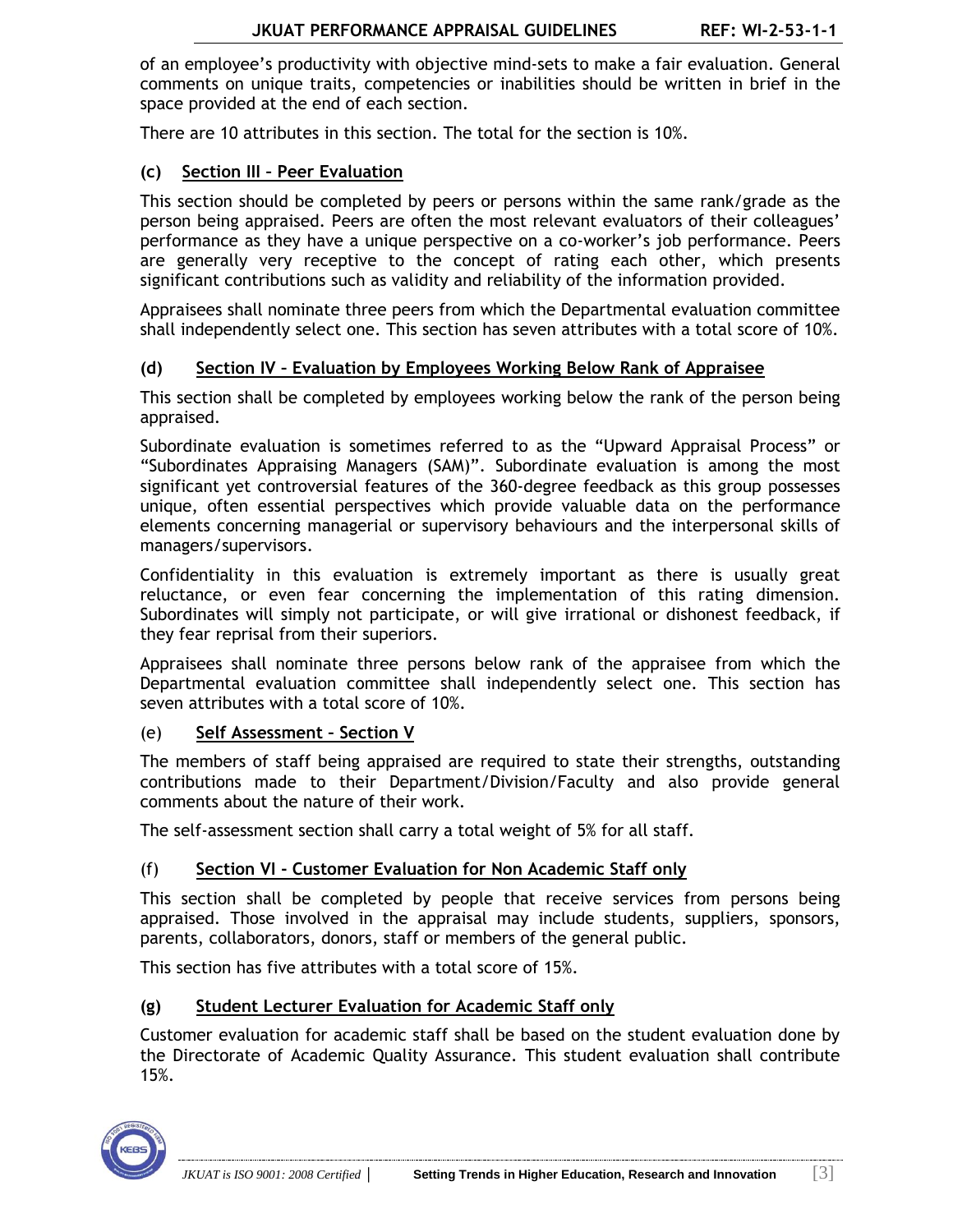of an employee's productivity with objective mind-sets to make a fair evaluation. General comments on unique traits, competencies or inabilities should be written in brief in the space provided at the end of each section.

There are 10 attributes in this section. The total for the section is 10%.

## **(c) Section III – Peer Evaluation**

This section should be completed by peers or persons within the same rank/grade as the person being appraised. Peers are often the most relevant evaluators of their colleagues' performance as they have a unique perspective on a co-worker's job performance. Peers are generally very receptive to the concept of rating each other, which presents significant contributions such as validity and reliability of the information provided.

Appraisees shall nominate three peers from which the Departmental evaluation committee shall independently select one. This section has seven attributes with a total score of 10%.

#### **(d) Section IV – Evaluation by Employees Working Below Rank of Appraisee**

This section shall be completed by employees working below the rank of the person being appraised.

Subordinate evaluation is sometimes referred to as the "Upward Appraisal Process" or "Subordinates Appraising Managers (SAM)". Subordinate evaluation is among the most significant yet controversial features of the 360-degree feedback as this group possesses unique, often essential perspectives which provide valuable data on the performance elements concerning managerial or supervisory behaviours and the interpersonal skills of managers/supervisors.

Confidentiality in this evaluation is extremely important as there is usually great reluctance, or even fear concerning the implementation of this rating dimension. Subordinates will simply not participate, or will give irrational or dishonest feedback, if they fear reprisal from their superiors.

Appraisees shall nominate three persons below rank of the appraisee from which the Departmental evaluation committee shall independently select one. This section has seven attributes with a total score of 10%.

#### (e) **Self Assessment – Section V**

The members of staff being appraised are required to state their strengths, outstanding contributions made to their Department/Division/Faculty and also provide general comments about the nature of their work.

The self-assessment section shall carry a total weight of 5% for all staff.

#### (f) **Section VI - Customer Evaluation for Non Academic Staff only**

This section shall be completed by people that receive services from persons being appraised. Those involved in the appraisal may include students, suppliers, sponsors, parents, collaborators, donors, staff or members of the general public.

This section has five attributes with a total score of 15%.

#### **(g) Student Lecturer Evaluation for Academic Staff only**

Customer evaluation for academic staff shall be based on the student evaluation done by the Directorate of Academic Quality Assurance. This student evaluation shall contribute 15%.